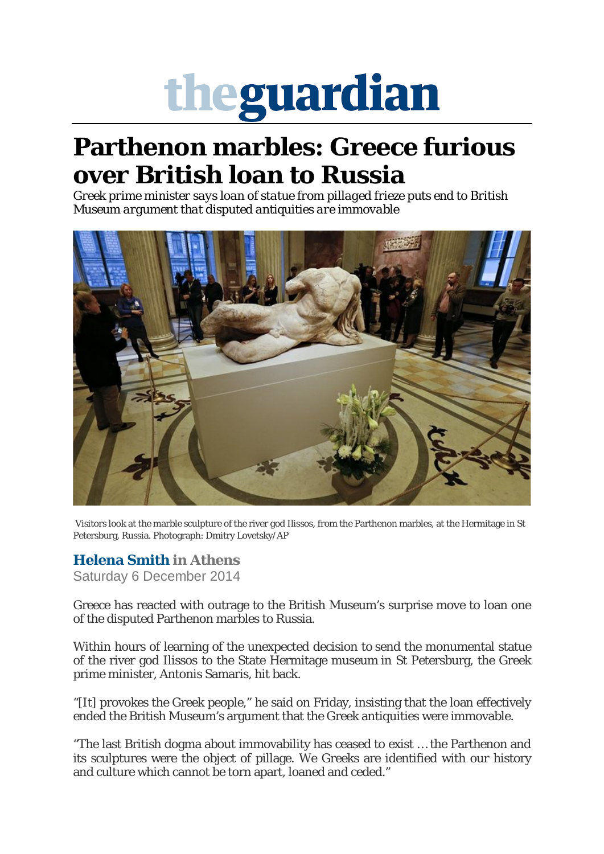## theguardian

## **Parthenon marbles: Greece furious over British loan to Russia**

*Greek prime minister says loan of statue from pillaged frieze puts end to British Museum argument that disputed antiquities are immovable*



Visitors look at the marble sculpture of the river god Ilissos, from the Parthenon marbles, at the Hermitage in St Petersburg, Russia. Photograph: Dmitry Lovetsky/AP

## **[Helena Smith](https://www.theguardian.com/profile/helenasmith) in Athens**

Saturday 6 December 2014

Greece has reacted with outrage to the British Museum's surprise move to loan one of the disputed Parthenon marbles to Russia.

Within hours of learning of the unexpected decision to send the monumental statue of the river god Ilissos to the State Hermitage museum in St Petersburg, the Greek prime minister, Antonis Samaris, hit back.

"[It] provokes the Greek people," he said on Friday, insisting that the loan effectively ended the British Museum's argument that the Greek antiquities were immovable.

"The last British dogma about immovability has ceased to exist … the Parthenon and its sculptures were the object of pillage. We Greeks are identified with our history and culture which cannot be torn apart, loaned and ceded."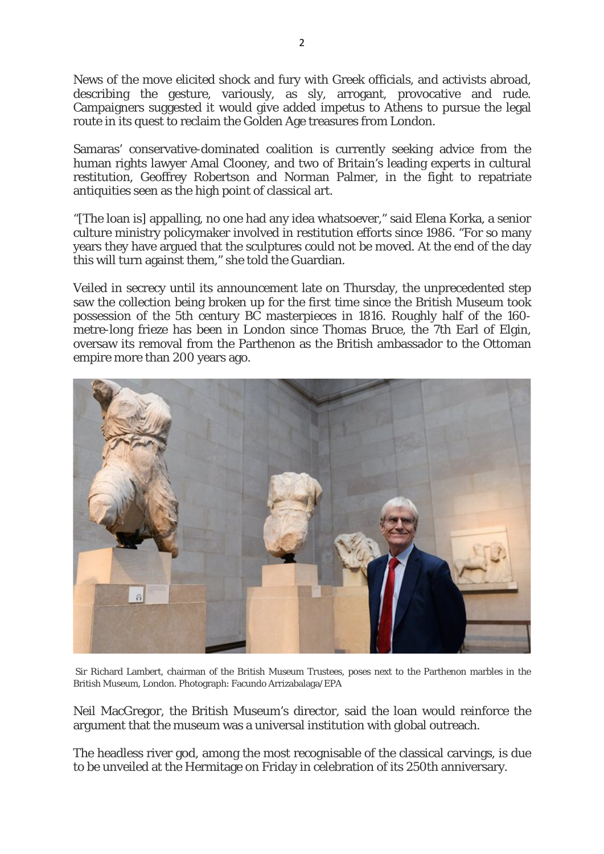News of the move elicited shock and fury with Greek officials, and activists abroad, describing the gesture, variously, as sly, arrogant, provocative and rude. Campaigners suggested it would give added impetus to Athens to pursue the legal route in its quest to reclaim the Golden Age treasures from London.

Samaras' conservative-dominated coalition is currently seeking advice from the human rights lawyer Amal Clooney, and two of Britain's leading experts in cultural restitution, Geoffrey Robertson and Norman Palmer, in the fight to repatriate antiquities seen as the high point of classical art.

"[The loan is] appalling, no one had any idea whatsoever," said Elena Korka, a senior culture ministry policymaker involved in restitution efforts since 1986. "For so many years they have argued that the sculptures could not be moved. At the end of the day this will turn against them," she told the Guardian.

Veiled in secrecy until its announcement late on Thursday, the unprecedented step saw the collection being broken up for the first time since the British Museum took possession of the 5th century BC masterpieces in 1816. Roughly half of the 160 metre-long frieze has been in London since Thomas Bruce, the 7th Earl of Elgin, oversaw its removal from the Parthenon as the British ambassador to the Ottoman empire more than 200 years ago.



Sir Richard Lambert, chairman of the British Museum Trustees, poses next to the Parthenon marbles in the British Museum, London. Photograph: Facundo Arrizabalaga/EPA

Neil MacGregor, the British Museum's director, said the loan would reinforce the argument that the museum was a universal institution with global outreach.

The headless river god, among the most recognisable of the classical carvings, is due to be unveiled at the Hermitage on Friday in celebration of its 250th anniversary.